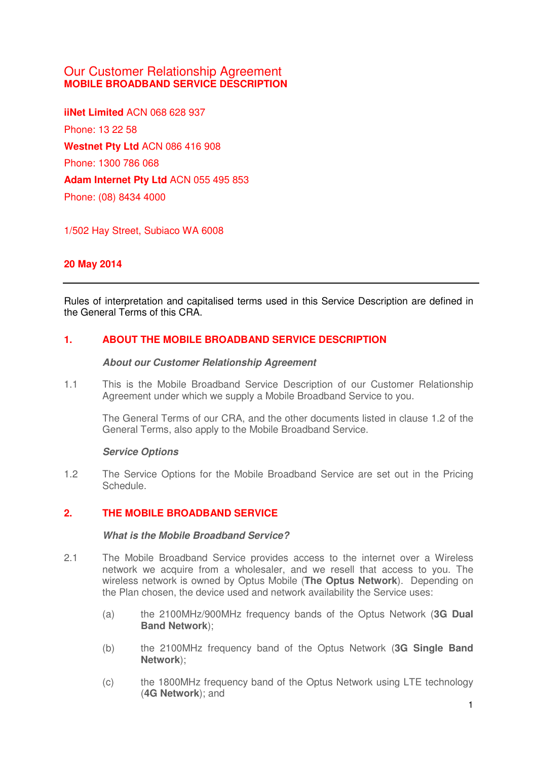# Our Customer Relationship Agreement **MOBILE BROADBAND SERVICE DESCRIPTION**

**iiNet Limited** ACN 068 628 937 Phone: 13 22 58 **Westnet Pty Ltd** ACN 086 416 908 Phone: 1300 786 068 **Adam Internet Pty Ltd** ACN 055 495 853 Phone: (08) 8434 4000

1/502 Hay Street, Subiaco WA 6008

## **20 May 2014**

Rules of interpretation and capitalised terms used in this Service Description are defined in the General Terms of this CRA.

## **1. ABOUT THE MOBILE BROADBAND SERVICE DESCRIPTION**

#### **About our Customer Relationship Agreement**

1.1 This is the Mobile Broadband Service Description of our Customer Relationship Agreement under which we supply a Mobile Broadband Service to you.

The General Terms of our CRA, and the other documents listed in clause 1.2 of the General Terms, also apply to the Mobile Broadband Service.

#### **Service Options**

1.2 The Service Options for the Mobile Broadband Service are set out in the Pricing Schedule.

### **2. THE MOBILE BROADBAND SERVICE**

#### **What is the Mobile Broadband Service?**

- 2.1 The Mobile Broadband Service provides access to the internet over a Wireless network we acquire from a wholesaler, and we resell that access to you. The wireless network is owned by Optus Mobile (**The Optus Network**). Depending on the Plan chosen, the device used and network availability the Service uses:
	- (a) the 2100MHz/900MHz frequency bands of the Optus Network (**3G Dual Band Network**);
	- (b) the 2100MHz frequency band of the Optus Network (**3G Single Band Network**);
	- (c) the 1800MHz frequency band of the Optus Network using LTE technology (**4G Network**); and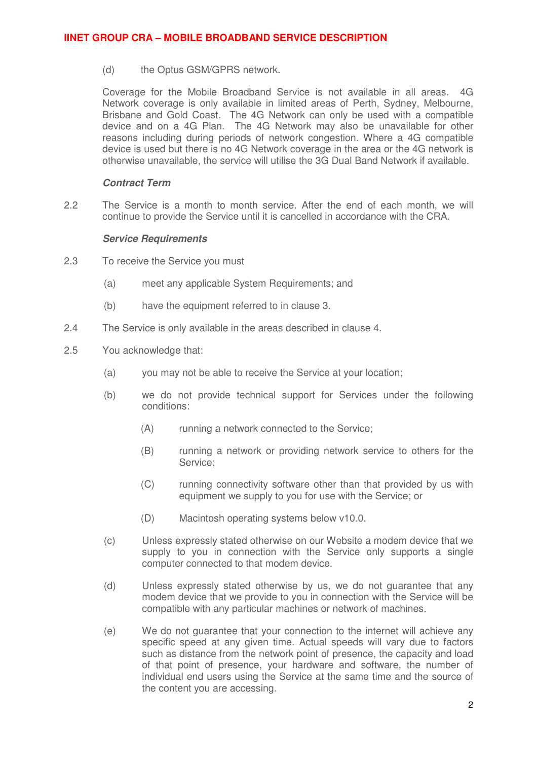(d) the Optus GSM/GPRS network.

Coverage for the Mobile Broadband Service is not available in all areas. 4G Network coverage is only available in limited areas of Perth, Sydney, Melbourne, Brisbane and Gold Coast. The 4G Network can only be used with a compatible device and on a 4G Plan. The 4G Network may also be unavailable for other reasons including during periods of network congestion. Where a 4G compatible device is used but there is no 4G Network coverage in the area or the 4G network is otherwise unavailable, the service will utilise the 3G Dual Band Network if available.

#### **Contract Term**

2.2 The Service is a month to month service. After the end of each month, we will continue to provide the Service until it is cancelled in accordance with the CRA.

#### **Service Requirements**

- 2.3 To receive the Service you must
	- (a) meet any applicable System Requirements; and
	- (b) have the equipment referred to in clause [3.](#page-2-0)
- 2.4 The Service is only available in the areas described in clause [4.](#page-2-0)
- 2.5 You acknowledge that:
	- (a) you may not be able to receive the Service at your location;
	- (b) we do not provide technical support for Services under the following conditions:
		- (A) running a network connected to the Service;
		- (B) running a network or providing network service to others for the Service;
		- (C) running connectivity software other than that provided by us with equipment we supply to you for use with the Service; or
		- (D) Macintosh operating systems below v10.0.
	- (c) Unless expressly stated otherwise on our Website a modem device that we supply to you in connection with the Service only supports a single computer connected to that modem device.
	- (d) Unless expressly stated otherwise by us, we do not guarantee that any modem device that we provide to you in connection with the Service will be compatible with any particular machines or network of machines.
	- (e) We do not guarantee that your connection to the internet will achieve any specific speed at any given time. Actual speeds will vary due to factors such as distance from the network point of presence, the capacity and load of that point of presence, your hardware and software, the number of individual end users using the Service at the same time and the source of the content you are accessing.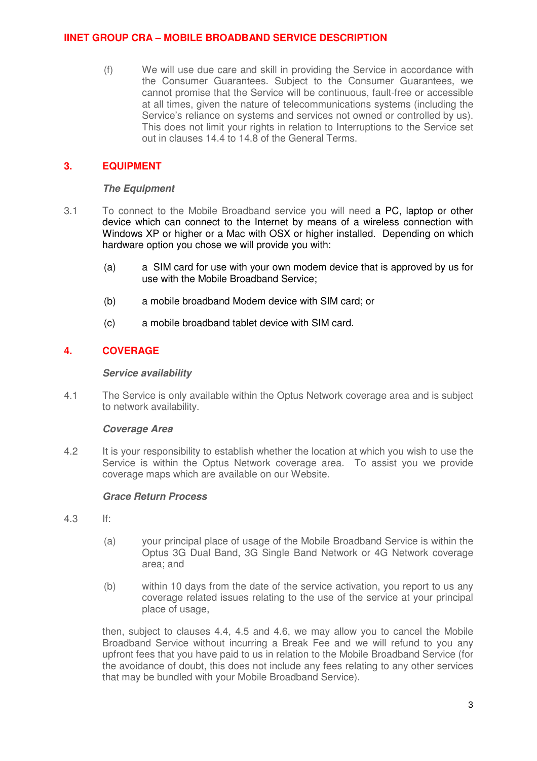<span id="page-2-0"></span>(f) We will use due care and skill in providing the Service in accordance with the Consumer Guarantees. Subject to the Consumer Guarantees, we cannot promise that the Service will be continuous, fault-free or accessible at all times, given the nature of telecommunications systems (including the Service's reliance on systems and services not owned or controlled by us). This does not limit your rights in relation to Interruptions to the Service set out in clauses 14.4 to 14.8 of the General Terms.

### **3. EQUIPMENT**

#### **The Equipment**

- 3.1 To connect to the Mobile Broadband service you will need a PC, laptop or other device which can connect to the Internet by means of a wireless connection with Windows XP or higher or a Mac with OSX or higher installed. Depending on which hardware option you chose we will provide you with:
	- (a) a SIM card for use with your own modem device that is approved by us for use with the Mobile Broadband Service;
	- (b) a mobile broadband Modem device with SIM card; or
	- (c) a mobile broadband tablet device with SIM card.

### **4. COVERAGE**

#### **Service availability**

4.1 The Service is only available within the Optus Network coverage area and is subject to network availability.

### **Coverage Area**

4.2 It is your responsibility to establish whether the location at which you wish to use the Service is within the Optus Network coverage area. To assist you we provide coverage maps which are available on our Website.

### **Grace Return Process**

- 4.3 If:
	- (a) your principal place of usage of the Mobile Broadband Service is within the Optus 3G Dual Band, 3G Single Band Network or 4G Network coverage area; and
	- (b) within 10 days from the date of the service activation, you report to us any coverage related issues relating to the use of the service at your principal place of usage,

then, subject to clauses 4.4, 4.5 and 4.6, we may allow you to cancel the Mobile Broadband Service witho[ut i](#page-3-0)n[curr](#page-3-0)ing [a Br](#page-3-0)eak Fee and we will refund to you any upfront fees that you have paid to us in relation to the Mobile Broadband Service (for the avoidance of doubt, this does not include any fees relating to any other services that may be bundled with your Mobile Broadband Service).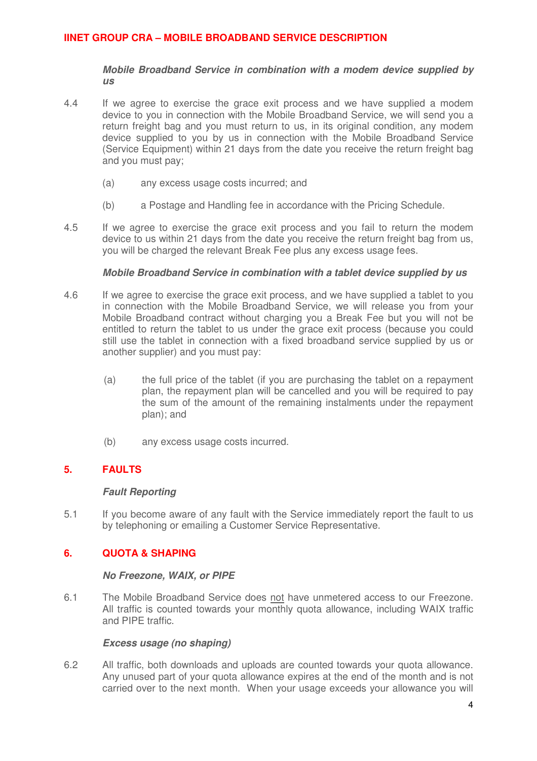#### **Mobile Broadband Service in combination with a modem device supplied by us**

- <span id="page-3-0"></span>4.4 If we agree to exercise the grace exit process and we have supplied a modem device to you in connection with the Mobile Broadband Service, we will send you a return freight bag and you must return to us, in its original condition, any modem device supplied to you by us in connection with the Mobile Broadband Service (Service Equipment) within 21 days from the date you receive the return freight bag and you must pay;
	- (a) any excess usage costs incurred; and
	- (b) a Postage and Handling fee in accordance with the Pricing Schedule.
- 4.5 If we agree to exercise the grace exit process and you fail to return the modem device to us within 21 days from the date you receive the return freight bag from us, you will be charged the relevant Break Fee plus any excess usage fees.

### **Mobile Broadband Service in combination with a tablet device supplied by us**

- 4.6 If we agree to exercise the grace exit process, and we have supplied a tablet to you in connection with the Mobile Broadband Service, we will release you from your Mobile Broadband contract without charging you a Break Fee but you will not be entitled to return the tablet to us under the grace exit process (because you could still use the tablet in connection with a fixed broadband service supplied by us or another supplier) and you must pay:
	- (a) the full price of the tablet (if you are purchasing the tablet on a repayment plan, the repayment plan will be cancelled and you will be required to pay the sum of the amount of the remaining instalments under the repayment plan); and
	- (b) any excess usage costs incurred.

## **5. FAULTS**

### **Fault Reporting**

5.1 If you become aware of any fault with the Service immediately report the fault to us by telephoning or emailing a Customer Service Representative.

## **6. QUOTA & SHAPING**

#### **No Freezone, WAIX, or PIPE**

6.1 The Mobile Broadband Service does not have unmetered access to our Freezone. All traffic is counted towards your monthly quota allowance, including WAIX traffic and PIPE traffic.

### **Excess usage (no shaping)**

6.2 All traffic, both downloads and uploads are counted towards your quota allowance. Any unused part of your quota allowance expires at the end of the month and is not carried over to the next month. When your usage exceeds your allowance you will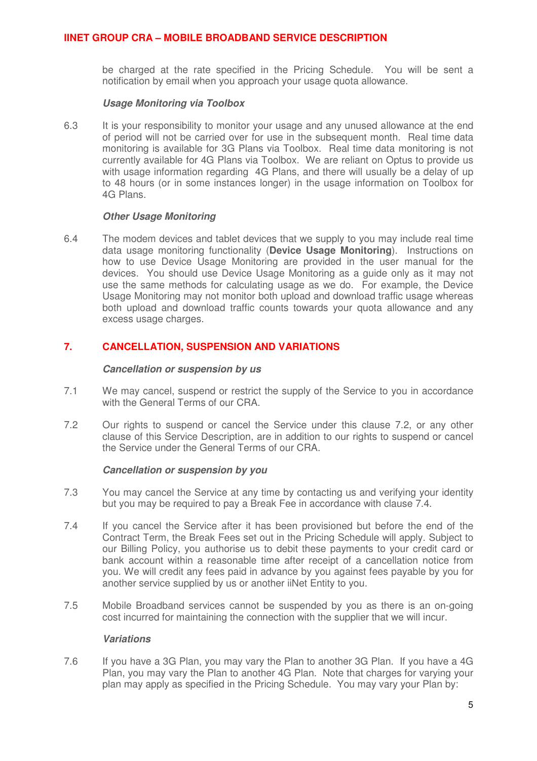<span id="page-4-0"></span>be charged at the rate specified in the Pricing Schedule. You will be sent a notification by email when you approach your usage quota allowance.

#### **Usage Monitoring via Toolbox**

6.3 It is your responsibility to monitor your usage and any unused allowance at the end of period will not be carried over for use in the subsequent month. Real time data monitoring is available for 3G Plans via Toolbox. Real time data monitoring is not currently available for 4G Plans via Toolbox. We are reliant on Optus to provide us with usage information regarding 4G Plans, and there will usually be a delay of up to 48 hours (or in some instances longer) in the usage information on Toolbox for 4G Plans.

#### **Other Usage Monitoring**

6.4 The modem devices and tablet devices that we supply to you may include real time data usage monitoring functionality (**Device Usage Monitoring**). Instructions on how to use Device Usage Monitoring are provided in the user manual for the devices. You should use Device Usage Monitoring as a guide only as it may not use the same methods for calculating usage as we do. For example, the Device Usage Monitoring may not monitor both upload and download traffic usage whereas both upload and download traffic counts towards your quota allowance and any excess usage charges.

### **7. CANCELLATION, SUSPENSION AND VARIATIONS**

#### **Cancellation or suspension by us**

- 7.1 We may cancel, suspend or restrict the supply of the Service to you in accordance with the General Terms of our CRA
- 7.2 Our rights to suspend or cancel the Service under this clause 7.2, or any other clause of this Service Description, are in addition to our rights to suspend or cancel the Service under the General Terms of our CRA.

### **Cancellation or suspension by you**

- 7.3 You may cancel the Service at any time by contacting us and verifying your identity but you may be required to pay a Break Fee in accordance with clause 7.4.
- 7.4 If you cancel the Service after it has been provisioned but before the end of the Contract Term, the Break Fees set out in the Pricing Schedule will apply. Subject to our Billing Policy, you authorise us to debit these payments to your credit card or bank account within a reasonable time after receipt of a cancellation notice from you. We will credit any fees paid in advance by you against fees payable by you for another service supplied by us or another iiNet Entity to you.
- 7.5 Mobile Broadband services cannot be suspended by you as there is an on-going cost incurred for maintaining the connection with the supplier that we will incur.

#### **Variations**

7.6 If you have a 3G Plan, you may vary the Plan to another 3G Plan. If you have a 4G Plan, you may vary the Plan to another 4G Plan. Note that charges for varying your plan may apply as specified in the Pricing Schedule. You may vary your Plan by: